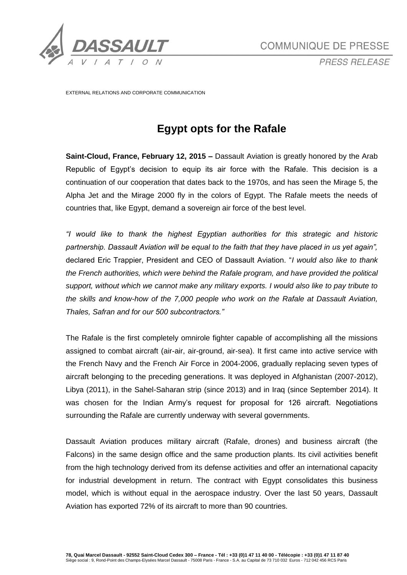

*PRESS RELEASE*

EXTERNAL RELATIONS AND CORPORATE COMMUNICATION

# **Egypt opts for the Rafale**

**Saint-Cloud, France, February 12, 2015 –** Dassault Aviation is greatly honored by the Arab Republic of Egypt's decision to equip its air force with the Rafale. This decision is a continuation of our cooperation that dates back to the 1970s, and has seen the Mirage 5, the Alpha Jet and the Mirage 2000 fly in the colors of Egypt. The Rafale meets the needs of countries that, like Egypt, demand a sovereign air force of the best level.

*"I would like to thank the highest Egyptian authorities for this strategic and historic partnership. Dassault Aviation will be equal to the faith that they have placed in us yet again",* declared Eric Trappier, President and CEO of Dassault Aviation. "*I would also like to thank the French authorities, which were behind the Rafale program, and have provided the political support, without which we cannot make any military exports. I would also like to pay tribute to the skills and know-how of the 7,000 people who work on the Rafale at Dassault Aviation, Thales, Safran and for our 500 subcontractors."*

The Rafale is the first completely omnirole fighter capable of accomplishing all the missions assigned to combat aircraft (air-air, air-ground, air-sea). It first came into active service with the French Navy and the French Air Force in 2004-2006, gradually replacing seven types of aircraft belonging to the preceding generations. It was deployed in Afghanistan (2007-2012), Libya (2011), in the Sahel-Saharan strip (since 2013) and in Iraq (since September 2014). It was chosen for the Indian Army's request for proposal for 126 aircraft. Negotiations surrounding the Rafale are currently underway with several governments.

Dassault Aviation produces military aircraft (Rafale, drones) and business aircraft (the Falcons) in the same design office and the same production plants. Its civil activities benefit from the high technology derived from its defense activities and offer an international capacity for industrial development in return. The contract with Egypt consolidates this business model, which is without equal in the aerospace industry. Over the last 50 years, Dassault Aviation has exported 72% of its aircraft to more than 90 countries.